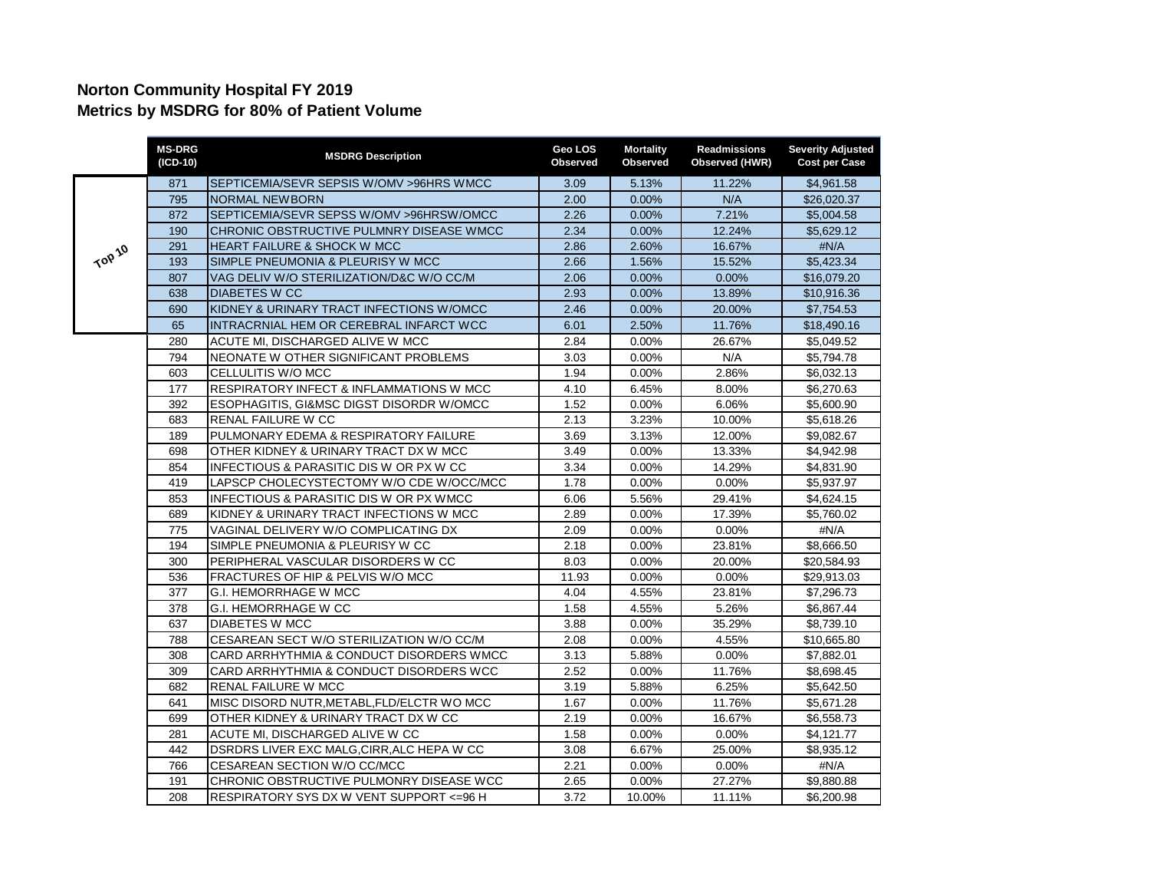## **Norton Community Hospital FY 2019 Metrics by MSDRG for 80% of Patient Volume**

|        | <b>MS-DRG</b><br>$(ICD-10)$ | <b>MSDRG Description</b>                            | Geo LOS<br>Observed | <b>Mortality</b><br>Observed | <b>Readmissions</b><br>Observed (HWR) | <b>Severity Adjusted</b><br><b>Cost per Case</b> |
|--------|-----------------------------|-----------------------------------------------------|---------------------|------------------------------|---------------------------------------|--------------------------------------------------|
| TOP 10 | 871                         | SEPTICEMIA/SEVR SEPSIS W/OMV >96HRS WMCC            | 3.09                | 5.13%                        | 11.22%                                | \$4,961.58                                       |
|        | 795                         | <b>NORMAL NEWBORN</b>                               | 2.00                | 0.00%                        | N/A                                   | \$26,020.37                                      |
|        | 872                         | SEPTICEMIA/SEVR SEPSS W/OMV >96HRSW/OMCC            | 2.26                | $0.00\%$                     | 7.21%                                 | \$5,004.58                                       |
|        | 190                         | CHRONIC OBSTRUCTIVE PULMNRY DISEASE WMCC            | 2.34                | $0.00\%$                     | 12.24%                                | \$5,629.12                                       |
|        | 291                         | <b>HEART FAILURE &amp; SHOCK W MCC</b>              | 2.86                | 2.60%                        | 16.67%                                | #N/A                                             |
|        | 193                         | SIMPLE PNEUMONIA & PLEURISY W MCC                   | 2.66                | 1.56%                        | 15.52%                                | \$5,423.34                                       |
|        | 807                         | VAG DELIV W/O STERILIZATION/D&C W/O CC/M            | 2.06                | $0.00\%$                     | 0.00%                                 | \$16,079.20                                      |
|        | 638                         | <b>DIABETES W CC</b>                                | 2.93                | 0.00%                        | 13.89%                                | \$10,916.36                                      |
|        | 690                         | KIDNEY & URINARY TRACT INFECTIONS W/OMCC            | 2.46                | 0.00%                        | 20.00%                                | \$7,754.53                                       |
|        | 65                          | INTRACRNIAL HEM OR CEREBRAL INFARCT WCC             | 6.01                | 2.50%                        | 11.76%                                | \$18,490.16                                      |
|        | 280                         | ACUTE MI, DISCHARGED ALIVE W MCC                    | 2.84                | 0.00%                        | 26.67%                                | \$5,049.52                                       |
|        | 794                         | NEONATE W OTHER SIGNIFICANT PROBLEMS                | 3.03                | 0.00%                        | N/A                                   | \$5,794.78                                       |
|        | 603                         | CELLULITIS W/O MCC                                  | 1.94                | 0.00%                        | 2.86%                                 | \$6,032.13                                       |
|        | 177                         | RESPIRATORY INFECT & INFLAMMATIONS W MCC            | 4.10                | 6.45%                        | 8.00%                                 | \$6,270.63                                       |
|        | 392                         | <b>ESOPHAGITIS, GI&amp;MSC DIGST DISORDR W/OMCC</b> | 1.52                | 0.00%                        | 6.06%                                 | \$5,600.90                                       |
|        | 683                         | <b>RENAL FAILURE W CC</b>                           | 2.13                | 3.23%                        | 10.00%                                | \$5,618.26                                       |
|        | 189                         | PULMONARY EDEMA & RESPIRATORY FAILURE               | 3.69                | 3.13%                        | 12.00%                                | \$9,082.67                                       |
|        | 698                         | OTHER KIDNEY & URINARY TRACT DX W MCC               | 3.49                | 0.00%                        | 13.33%                                | \$4,942.98                                       |
|        | 854                         | INFECTIOUS & PARASITIC DIS W OR PX W CC             | 3.34                | 0.00%                        | 14.29%                                | \$4,831.90                                       |
|        | 419                         | LAPSCP CHOLECYSTECTOMY W/O CDE W/OCC/MCC            | 1.78                | 0.00%                        | 0.00%                                 | \$5,937.97                                       |
|        | 853                         | INFECTIOUS & PARASITIC DIS W OR PX WMCC             | 6.06                | 5.56%                        | 29.41%                                | \$4.624.15                                       |
|        | 689                         | KIDNEY & URINARY TRACT INFECTIONS W MCC             | 2.89                | 0.00%                        | 17.39%                                | \$5,760.02                                       |
|        | 775                         | VAGINAL DELIVERY W/O COMPLICATING DX                | 2.09                | 0.00%                        | 0.00%                                 | #N/A                                             |
|        | 194                         | SIMPLE PNEUMONIA & PLEURISY W CC                    | 2.18                | 0.00%                        | 23.81%                                | \$8,666.50                                       |
|        | 300                         | PERIPHERAL VASCULAR DISORDERS W CC                  | 8.03                | $0.00\%$                     | 20.00%                                | \$20,584.93                                      |
|        | 536                         | FRACTURES OF HIP & PELVIS W/O MCC                   | 11.93               | 0.00%                        | $0.00\%$                              | \$29,913.03                                      |
|        | 377                         | <b>G.I. HEMORRHAGE W MCC</b>                        | 4.04                | 4.55%                        | 23.81%                                | \$7,296.73                                       |
|        | 378                         | G.I. HEMORRHAGE W CC                                | 1.58                | 4.55%                        | 5.26%                                 | \$6,867.44                                       |
|        | 637                         | <b>DIABETES W MCC</b>                               | 3.88                | 0.00%                        | 35.29%                                | \$8,739.10                                       |
|        | 788                         | CESAREAN SECT W/O STERILIZATION W/O CC/M            | 2.08                | 0.00%                        | 4.55%                                 | \$10,665.80                                      |
|        | 308                         | CARD ARRHYTHMIA & CONDUCT DISORDERS WMCC            | 3.13                | 5.88%                        | 0.00%                                 | \$7,882.01                                       |
|        | 309                         | CARD ARRHYTHMIA & CONDUCT DISORDERS WCC             | 2.52                | $0.00\%$                     | 11.76%                                | \$8,698.45                                       |
|        | 682                         | <b>RENAL FAILURE W MCC</b>                          | 3.19                | 5.88%                        | 6.25%                                 | \$5,642.50                                       |
|        | 641                         | MISC DISORD NUTR, METABL, FLD/ELCTR WO MCC          | 1.67                | 0.00%                        | 11.76%                                | \$5,671.28                                       |
|        | 699                         | OTHER KIDNEY & URINARY TRACT DX W CC                | 2.19                | 0.00%                        | 16.67%                                | \$6,558.73                                       |
|        | 281                         | ACUTE MI. DISCHARGED ALIVE W CC                     | 1.58                | 0.00%                        | 0.00%                                 | \$4,121.77                                       |
|        | 442                         | DSRDRS LIVER EXC MALG, CIRR, ALC HEPA W CC          | 3.08                | 6.67%                        | 25.00%                                | \$8,935.12                                       |
|        | 766                         | CESAREAN SECTION W/O CC/MCC                         | 2.21                | 0.00%                        | 0.00%                                 | #N/A                                             |
|        | 191                         | CHRONIC OBSTRUCTIVE PULMONRY DISEASE WCC            | 2.65                | $0.00\%$                     | 27.27%                                | \$9,880.88                                       |
|        | 208                         | RESPIRATORY SYS DX W VENT SUPPORT <= 96 H           | 3.72                | 10.00%                       | 11.11%                                | \$6,200.98                                       |